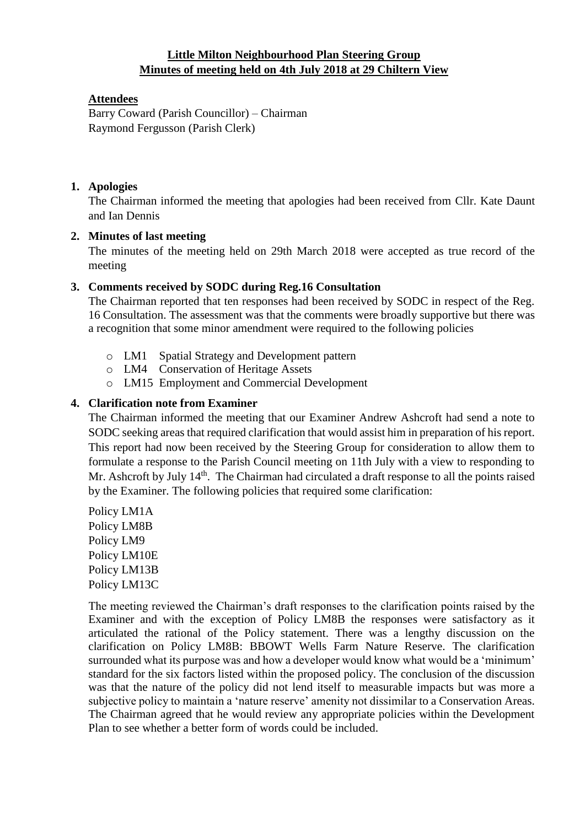# **Little Milton Neighbourhood Plan Steering Group Minutes of meeting held on 4th July 2018 at 29 Chiltern View**

## **Attendees**

Barry Coward (Parish Councillor) – Chairman Raymond Fergusson (Parish Clerk)

#### **1. Apologies**

The Chairman informed the meeting that apologies had been received from Cllr. Kate Daunt and Ian Dennis

### **2. Minutes of last meeting**

The minutes of the meeting held on 29th March 2018 were accepted as true record of the meeting

### **3. Comments received by SODC during Reg.16 Consultation**

The Chairman reported that ten responses had been received by SODC in respect of the Reg. 16 Consultation. The assessment was that the comments were broadly supportive but there was a recognition that some minor amendment were required to the following policies

- o LM1 Spatial Strategy and Development pattern
- o LM4 Conservation of Heritage Assets
- o LM15 Employment and Commercial Development

### **4. Clarification note from Examiner**

The Chairman informed the meeting that our Examiner Andrew Ashcroft had send a note to SODC seeking areas that required clarification that would assist him in preparation of his report. This report had now been received by the Steering Group for consideration to allow them to formulate a response to the Parish Council meeting on 11th July with a view to responding to Mr. Ashcroft by July 14<sup>th</sup>. The Chairman had circulated a draft response to all the points raised by the Examiner. The following policies that required some clarification:

Policy LM1A Policy LM8B Policy LM9 Policy LM10E Policy LM13B Policy LM13C

The meeting reviewed the Chairman's draft responses to the clarification points raised by the Examiner and with the exception of Policy LM8B the responses were satisfactory as it articulated the rational of the Policy statement. There was a lengthy discussion on the clarification on Policy LM8B: BBOWT Wells Farm Nature Reserve. The clarification surrounded what its purpose was and how a developer would know what would be a 'minimum' standard for the six factors listed within the proposed policy. The conclusion of the discussion was that the nature of the policy did not lend itself to measurable impacts but was more a subjective policy to maintain a 'nature reserve' amenity not dissimilar to a Conservation Areas. The Chairman agreed that he would review any appropriate policies within the Development Plan to see whether a better form of words could be included.